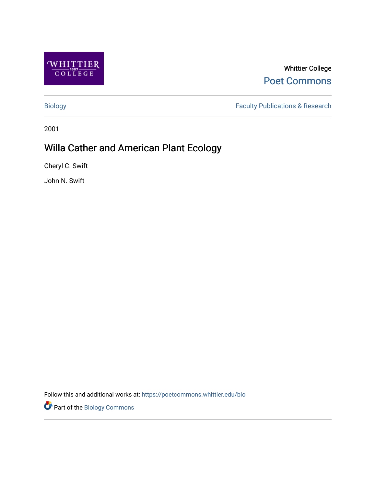

Whittier College [Poet Commons](https://poetcommons.whittier.edu/) 

[Biology](https://poetcommons.whittier.edu/bio) [Faculty Publications & Research](https://poetcommons.whittier.edu/faculty) 

2001

# Willa Cather and American Plant Ecology

Cheryl C. Swift

John N. Swift

Follow this and additional works at: [https://poetcommons.whittier.edu/bio](https://poetcommons.whittier.edu/bio?utm_source=poetcommons.whittier.edu%2Fbio%2F28&utm_medium=PDF&utm_campaign=PDFCoverPages)

Part of the [Biology Commons](http://network.bepress.com/hgg/discipline/41?utm_source=poetcommons.whittier.edu%2Fbio%2F28&utm_medium=PDF&utm_campaign=PDFCoverPages)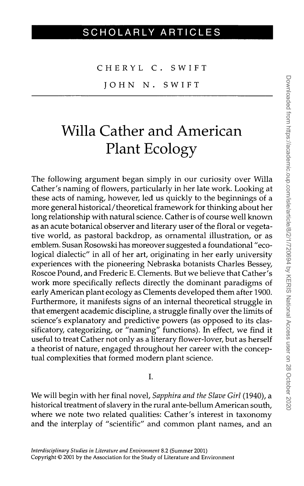CHERYL C. SWIFT

IOHN N. SWIFT

# Willa Cather and American Plant Ecology

The following argument began simply in our curiosity over Willa Cather's naming of flowers, particularly in her late work. Looking at these acts of naming, however, led us quickly to the beginnings of a more general historical/theoretical framework for thinking about her long relationship with natural science. Cather is of course well known as an acute botanical observer and literary user of the floral or vegetative world, as pastoral backdrop, as ornamental illustration, or as emblem. Susan Rosowski has moreover suggested a foundational "ecological dialectic" in all of her art, originating in her early university experiences with the pioneering Nebraska botanists Charles Bessey, Roscoe Pound, and Frederic E. Clements. But we believe that Cather's work more specifically reflects directly the dominant paradigms of early American plant ecology as Clements developed them after 1900. Furthermore, it manifests signs of an internal theoretical struggle in that emergent academic discipline, a struggle finally over the limits of science's explanatory and predictive powers (as opposed to its classificatory, categorizing, or "naming" functions). In effect, we find it useful to treat Cather not only as a literary flower-lover, but as herself a theorist of nature, engaged throughout her career with the conceptual complexities that formed modern plant science.

### I.

We will begin with her final novel, *Sapphira and the Slave Girl* (1940), a historical treatment of slavery in the rural ante-bellum American south, where we note two related qualities: Cather's interest in taxonomy and the interplay of "scientific" and common plant names, and an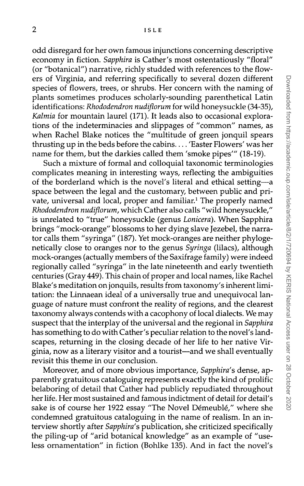odd disregard for her own famous injunctions concerning descriptive economy in fiction. *Sapphira* is Cather's most ostentatiously "floral" (or "botanical") narrative, richly studded with references to the flowers of Virginia, and referring specifically to several dozen different species of flowers, trees, or shrubs. Her concern with the naming of plants sometimes produces scholarly-sounding parenthetical Latin identifications: *Rhododendron nudiflorum* for wild honeysuckle (34-35), *Kalmia* for mountain laurel (171). It leads also to occasional explorations of the indeterminacies and slippages of "common" names, as when Rachel Blake notices the "multitude of green jonquil spears thrusting up in the beds before the cabins.... 'Easter Flowers' was her name for them, but the darkies called them 'smoke pipes'" (18-19).

Such a mixture of formal and colloquial taxonomic terminologies complicates meaning in interesting ways, reflecting the ambiguities of the borderland which is the novel's literal and ethical setting—a space between the legal and the customary, between public and private, universal and local, proper and familiar.<sup>1</sup> The properly named *Rhododendron nudiflorum,* which Cather also calls "wild honeysuckle," is unrelated to "true" honeysuckle (genus *Lonicera).* When Sapphira brings "mock-orange" blossoms to her dying slave Jezebel, the narrator calls them "syringa" (187). Yet mock-oranges are neither phylogenetically close to oranges nor to the genus *Syringa* (lilacs), although mock-oranges (actually members of the Saxifrage family) were indeed regionally called "syringa" in the late nineteenth and early twentieth centuries (Gray 449). This chain of proper and local names, like Rachel Blake's meditation on jonquils, results from taxonomy's inherent limitation: the Linnaean ideal of a universally true and unequivocal language of nature must confront the reality of regions, and the clearest taxonomy always contends with a cacophony of local dialects. We may suspect that the interplay of the universal and the regional in *Sapphira* has something to do with Cather's peculiar relation to the novel's landscapes, returning in the closing decade of her life to her native Virginia, now as a literary visitor and a tourist—and we shall eventually revisit this theme in our conclusion.

Moreover, and of more obvious importance, *Sapphira's* dense, apparently gratuitous cataloguing represents exactly the kind of prolific belaboring of detail that Cather had publicly repudiated throughout her life. Her most sustained and famous indictment of detail for detail's sake is of course her 1922 essay "The Novel Démeublé," where she condemned gratuitous cataloguing in the name of realism. In an interview shortly after *Sapphira's* publication, she criticized specifically the piling-up of "arid botanical knowledge" as an example of "useless ornamentation" in fiction (Bohlke 135). And in fact the novel's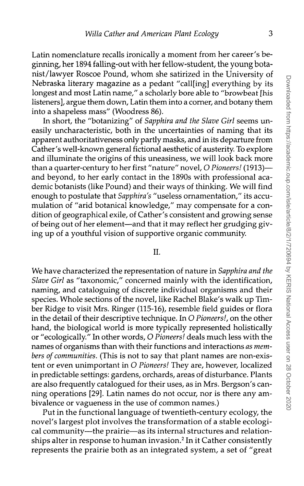Latin nomenclature recalls ironically a moment from her career's beginning, her 1894 falling-out with her fellow-student, the young botanist/lawyer Roscoe Pound, whom she satirized in the University of Nebraska literary magazine as a pedant "call[ing] everything by its longest and most Latin name," a scholarly bore able to "browbeat [his listeners], argue them down, Latin them into a corner, and botany them into a shapeless mass" (Woodress 86).

In short, the "botanizing" of *Sapphira and the Slave Girl* seems uneasily uncharacteristic, both in the uncertainties of naming that its apparent authoritativeness only partly masks, and in its departure from Cather's well-known general fictional aesthetic of austerity. To explore and illuminate the origins of this uneasiness, we will look back more than a quarter-century to her first "nature" novel, *O Pioneers!* (1913) and beyond, to her early contact in the 1890s with professional academic botanists (like Pound) and their ways of thinking. We will find enough to postulate that *Sapphira's* "useless ornamentation," its accumulation of "arid botanical knowledge," may compensate for a condition of geographical exile, of Cather's consistent and growing sense of being out of her element—and that it may reflect her grudging giving up of a youthful vision of supportive organic community.

## II.

We have characterized the representation of nature in *Sapphira and the Slave Girl* as "taxonomic," concerned mainly with the identification, naming, and cataloguing of discrete individual organisms and their species. Whole sections of the novel, like Rachel Blake's walk up Timber Ridge to visit Mrs. Ringer (115-16), resemble field guides or flora in the detail of their descriptive technique. In *O Pioneers!,* on the other hand, the biological world is more typically represented holistically or "ecologically." In other words, O *Pioneers!* deals much less with the names of organisms than with their functions and interactions *as members of communities.* (This is not to say that plant names are non-existent or even unimportant in *O Pioneers!* They are, however, localized in predictable settings: gardens, orchards, areas of disturbance. Plants are also frequently catalogued for their uses, as in Mrs. Bergson's canning operations [29]. Latin names do not occur, nor is there any ambivalence or vagueness in the use of common names.)

Put in the functional language of twentieth-century ecology, the novel's largest plot involves the transformation of a stable ecological community—the prairie—as its internal structures and relationships alter in response to human invasion.<sup>2</sup> In it Cather consistently represents the prairie both as an integrated system, a set of "great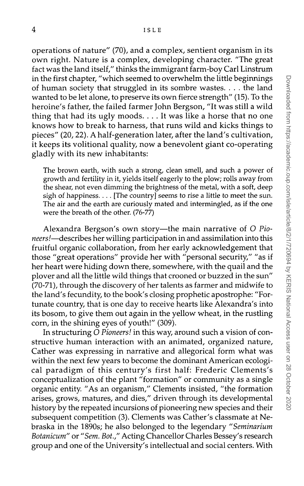operations of nature" (70), and a complex, sentient organism in its own right. Nature is a complex, developing character. "The great fact was the land itself," thinks the immigrant farm-boy Carl Linstrum in the first chapter, "which seemed to overwhelm the little beginnings of human society that struggled in its sombre wastes. . . . the land wanted to be let alone, to preserve its own fierce strength" (15). To the heroine's father, the failed farmer John Bergson, "It was still a wild thing that had its ugly moods. .. . It was like a horse that no one knows how to break to harness, that runs wild and kicks things to pieces" (20, 22). A half-generation later, after the land's cultivation, it keeps its volitional quality, now a benevolent giant co-operating gladly with its new inhabitants:

The brown earth, with such a strong, clean smell, and such a power of growth and fertility in it, yields itself eagerly to the plow; rolls away from the shear, not even dimming the brightness of the metal, with a soft, deep sigh of happiness.  $\dots$  [The country] seems to rise a little to meet the sun. The air and the earth are curiously mated and intermingled, as if the one were the breath of the other. (76-77)

Alexandra Bergson's own story—the main narrative of O *Pioneers!*—describes her willing participation in and assimilation into this fruitful organic collaboration, from her early acknowledgement that those "great operations" provide her with "personal security," "as if her heart were hiding down there, somewhere, with the quail and the plover and all the little wild things that crooned or buzzed in the sun" (70-71), through the discovery of her talents as farmer and midwife to the land's fecundity, to the book's closing prophetic apostrophe: "Fortunate country, that is one day to receive hearts like Alexandra's into its bosom, to give them out again in the yellow wheat, in the rustling corn, in the shining eyes of youth!" (309).

In structuring *O Pioneers!* in this way, around such a vision of constructive human interaction with an animated, organized nature, Cather was expressing in narrative and allegorical form what was within the next few years to become the dominant American ecological paradigm of this century's first half: Frederic Clements's conceptualization of the plant "formation" or community as a single organic entity. "As an organism," Clements insisted, "the formation arises, grows, matures, and dies," driven through its developmental history by the repeated incursions of pioneering new species and their subsequent competition (3). Clements was Cather's classmate at Nebraska in the 1890s; he also belonged to the legendary *"Seminarium Botanicum"* or *"Sem. Bot.,"* Acting Chancellor Charles Bessey's research group and one of the University's intellectual and social centers. With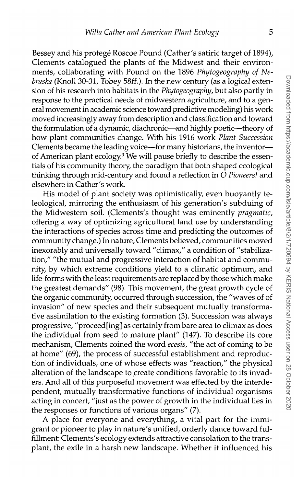Bessey and his protegé Roscoe Pound (Cather's satiric target of 1894), Clements catalogued the plants of the Midwest and their environments, collaborating with Pound on the 1896 *Phytogeography of Nebraska* (Knoll 30-31, Tobey *58it).* In the new century (as a logical extension of his research into habitats in the *Phytogeography*, but also partly in response to the practical needs of midwestern agriculture, and to a general movement in academic science toward predictive modeling) his work moved increasingly away from description and classification and toward the formulation of a dynamic, diachronic—and highly poetic—theory of how plant communities change. With his 1916 work *Plant Succession* Clements became the leading voice—for many historians, the inventor of American plant ecology.<sup>3</sup> We will pause briefly to describe the essentials of his community theory, the paradigm that both shaped ecological thinking through mid-century and found a reflection in *O Pioneers!* and elsewhere in Cather's work.

His model of plant society was optimistically, even buoyantly teleological, mirroring the enthusiasm of his generation's subduing of the Midwestern soil. (Clements's thought was eminently *pragmatic,* offering a way of optimizing agricultural land use by understanding the interactions of species across time and predicting the outcomes of community change.) In nature, Clements believed, communities moved inexorably and universally toward "climax," a condition of "stabilization," "the mutual and progressive interaction of habitat and community, by which extreme conditions yield to a climatic optimum, and life-forms with the least requirements are replaced by those which make the greatest demands" (98). This movement, the great growth cycle of the organic community, occurred through succession, the "waves of of invasion" of new species and their subsequent mutually transformative assimilation to the existing formation (3). Succession was always progressive, "proceed [ing] as certainly from bare area to climax as does the individual from seed to mature plant" (147). To describe its core mechanism, Clements coined the word *ecesis,* "the act of coming to be at home" (69), the process of successful establishment and reproduction of individuals, one of whose effects was "reaction," the physical alteration of the landscape to create conditions favorable to its invaders. And all of this purposeful movement was effected by the interdependent, mutually transformative functions of individual organisms acting in concert, "just as the power of growth in the individual lies in the responses or functions of various organs" (7).

A place for everyone and everything, a vital part for the immigrant or pioneer to play in nature's unified, orderly dance toward fulfillment: Clements's ecology extends attractive consolation to the transplant, the exile in a harsh new landscape. Whether it influenced his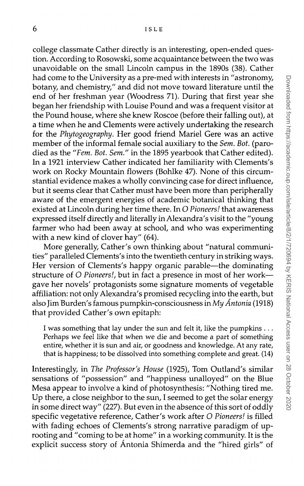college classmate Cather directly is an interesting, open-ended question. According to Rosowski, some acquaintance between the two was unavoidable on the small Lincoln campus in the 1890s (38). Cather had come to the University as a pre-med with interests in "astronomy, botany, and chemistry," and did not move toward literature until the end of her freshman year (Woodress 71). During that first year she began her friendship with Louise Pound and was a frequent visitor at the Pound house, where she knew Roscoe (before their falling out), at a time when he and Clements were actively undertaking the research for the *Phytogeography.* Her good friend Mariel Gere was an active member of the informal female social auxiliary to the *Sem. Bot.* (parodied as the *"Fern. Bot. Sem."* in the 1895 yearbook that Cather edited). In a 1921 interview Cather indicated her familiarity with Clements's work on Rocky Mountain flowers (Bohlke 47). None of this circumstantial evidence makes a wholly convincing case for direct influence, but it seems clear that Cather must have been more than peripherally aware of the emergent energies of academic botanical thinking that existed at Lincoln during her time there. In *O Pioneers!* that awareness expressed itself directly and literally in Alexandra's visit to the "young farmer who had been away at school, and who was experimenting with a new kind of clover hay" (64).

More generally, Cather's own thinking about "natural communities" paralleled Clements's into the twentieth century in striking ways. Her version of Clements's happy organic parable—the dominating structure of *O Pioneers!,* but in fact a presence in most of her work gave her novels' protagonists some signature moments of vegetable affiliation: not only Alexandra's promised recycling into the earth, but also Jim Burden's famous pumpkin-consciousness in *My Antonio.* (1918) that provided Cather's own epitaph:

I was something that lay under the sun and felt it, like the pumpkins . .. Perhaps we feel like that when we die and become a part of something entire, whether it is sun and air, or goodness and knowledge. At any rate, that is happiness; to be dissolved into something complete and great. (14)

Interestingly, in *The Professor's House* (1925), Tom Outland's similar sensations of "possession" and "happiness unalloyed" on the Blue Mesa appear to involve a kind of photosynthesis: "Nothing tired me. Up there, a close neighbor to the sun, I seemed to get the solar energy in some direct way" (227). But even in the absence of this sort of oddly specific vegetative reference, Cather's work after *O Pioneers!* is filled with fading echoes of Clements's strong narrative paradigm of uprooting and "coming to be at home" in a working community. It is the explicit success story of Antonia Shimerda and the "hired girls" of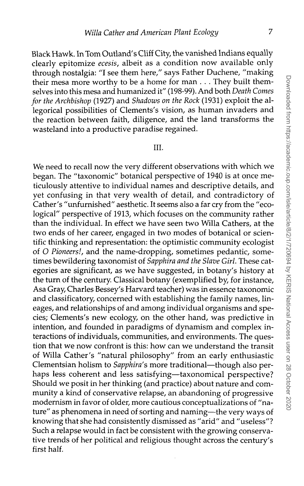Black Hawk. In Tom Outland's Cliff City, the vanished Indians equally clearly epitomize *ecesis,* albeit as a condition now available only through nostalgia: "I see them here," says Father Duchene, "making their mesa more worthy to be a home for man . . . They built themselves into this mesa and humanized it" (198-99). And both *Death Comes for the Archbishop* (1927) and *Shadows on the Rock* (1931) exploit the allegorical possibilities of Clements's vision, as human invaders and the reaction between faith, diligence, and the land transforms the wasteland into a productive paradise regained.

### III.

We need to recall now the very different observations with which we began. The "taxonomic" botanical perspective of 1940 is at once meticulously attentive to individual names and descriptive details, and yet confusing in that very wealth of detail, and contradictory of Cather's "unfurnished" aesthetic. It seems also a far cry from the "ecological" perspective of 1913, which focuses on the community rather than the individual. In effect we have seen two Willa Cathers, at the two ends of her career, engaged in two modes of botanical or scientific thinking and representation: the optimistic community ecologist of *O Pioneers!,* and the name-dropping, sometimes pedantic, sometimes bewildering taxonomist of *Sapphira and the Slave Girl.* These categories are significant, as we have suggested, in botany's history at the turn of the century. Classical botany (exemplified by, for instance, Asa Gray, Charles Bessey's Harvard teacher) was in essence taxonomic and classificatory, concerned with establishing the family names, lineages, and relationships of and among individual organisms and species; Clements's new ecology, on the other hand, was predictive in intention, and founded in paradigms of dynamism and complex interactions of individuals, communities, and environments. The question that we now confront is this: how can we understand the transit of Willa Cather's "natural philosophy" from an early enthusiastic Clementsian holism to *Sapphira*'s more traditional—though also perhaps less coherent and less satisfying—taxonomical perspective? Should we posit in her thinking (and practice) about nature and community a kind of conservative relapse, an abandoning of progressive modernism in favor of older, more cautious conceptualizations of "nature" as phenomena in need of sorting and naming—the very ways of knowing that she had consistently dismissed as "arid" and "useless"? Such a relapse would in fact be consistent with the growing conservative trends of her political and religious thought across the century's first half.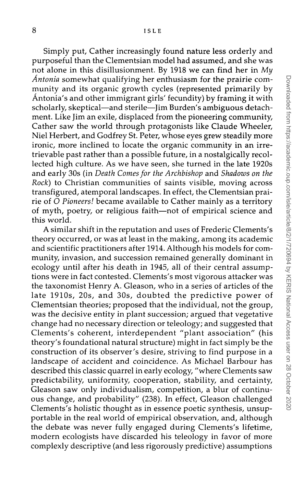Simply put, Cather increasingly found nature less orderly and purposeful than the Clementsian model had assumed, and she was not alone in this disillusionment. By 1918 we can find her in *My Antonia* somewhat qualifying her enthusiasm for the prairie community and its organic growth cycles (represented primarily by Antonia's and other immigrant girls' fecundity) by framing it with scholarly, skeptical—and sterile—Jim Burden's ambiguous detachment. Like Jim an exile, displaced from the pioneering community, Cather saw the world through protagonists like Claude Wheeler, Niel Herbert, and Godfrey St. Peter, whose eyes grew steadily more ironic, more inclined to locate the organic community in an irretrievable past rather than a possible future, in a nostalgically recollected high culture. As we have seen, she turned in the late 1920s and early 30s (in *Death Comes for the Archbishop* and *Shadows on the Rock)* to Christian communities of saints visible, moving across transfigured, atemporal landscapes. In effect, the Clementsian prairie of *O Pioneers!* became available to Cather mainly as a territory of myth, poetry, or religious faith—not of empirical science and this world.

A similar shift in the reputation and uses of Frederic Clements's theory occurred, or was at least in the making, among its academic and scientific practitioners after 1914. Although his models for community, invasion, and succession remained generally dominant in ecology until after his death in 1945, all of their central assumptions were in fact contested. Clements's most vigorous attacker was the taxonomist Henry A. Gleason, who in a series of articles of the late 1910s, 20s, and 30s, doubted the predictive power of Clementsian theories; proposed that the individual, not the group, was the decisive entity in plant succession; argued that vegetative change had no necessary direction or teleology; and suggested that Clements's coherent, interdependent "plant association" (his theory's foundational natural structure) might in fact simply be the construction of its observer's desire, striving to find purpose in a landscape of accident and coincidence. As Michael Barbour has described this classic quarrel in early ecology, "where Clements saw predictability, uniformity, cooperation, stability, and certainty, Gleason saw only individualism, competition, a blur of continuous change, and probability" (238). In effect, Gleason challenged Clements's holistic thought as in essence poetic synthesis, unsupportable in the real world of empirical observation, and, although the debate was never fully engaged during Clements's lifetime, modern ecologists have discarded his teleology in favor of more complexly descriptive (and less rigorously predictive) assumptions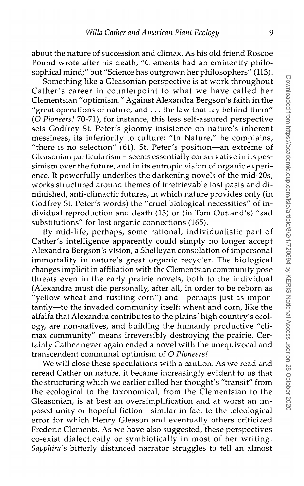about the nature of succession and climax. As his old friend Roscoe Pound wrote after his death, "Clements had an eminently philosophical mind;" but "Science has outgrown her philosophers" (113).

Something like a Gleasonian perspective is at work throughout Cather's career in counterpoint to what we have called her Clementsian "optimism." Against Alexandra Bergson's faith in the "great operations of nature, and . . . the law that lay behind them" (O *Pioneers!* 70-71), for instance, this less self-assured perspective sets Godfrey St. Peter's gloomy insistence on nature's inherent messiness, its inferiority to culture: "In Nature," he complains, "there is no selection"  $(61)$ . St. Peter's position—an extreme of Gleasonian particularism—seems essentially conservative in its pessimism over the future, and in its entropic vision of organic experience. It powerfully underlies the darkening novels of the mid-20s, works structured around themes of irretrievable lost pasts and diminished, anti-climactic futures, in which nature provides only (in Godfrey St. Peter's words) the "cruel biological necessities" of individual reproduction and death (13) or (in Tom Outland's) "sad substitutions" for lost organic connections (165).

By mid-life, perhaps, some rational, individualistic part of Cather's intelligence apparently could simply no longer accept Alexandra Bergson's vision, a Shelleyan consolation of impersonal immortality in nature's great organic recycler. The biological changes implicit in affiliation with the Clementsian community pose threats even in the early prairie novels, both to the individual (Alexandra must die personally, after all, in order to be reborn as "yellow wheat and rustling corn") and—perhaps just as importantly—to the invaded community itself: wheat and corn, like the alfalfa that Alexandra contributes to the plains' high country's ecology, are non-natives, and building the humanly productive "climax community" means irreversibly destroying the prairie. Certainly Cather never again ended a novel with the unequivocal and transcendent communal optimism of *O Pioneers!*

We will close these speculations with a caution. As we read and reread Cather on nature, it became increasingly evident to us that the structuring which we earlier called her thought's "transit" from the ecological to the taxonomical, from the Clementsian to the Gleasonian, is at best an oversimplification and at worst an imposed unity or hopeful fiction—similar in fact to the teleological error for which Henry Gleason and eventually others criticized Frederic Clements. As we have also suggested, these perspectives co-exist dialectically or symbiotically in most of her writing. *Sapphira's* bitterly distanced narrator struggles to tell an almost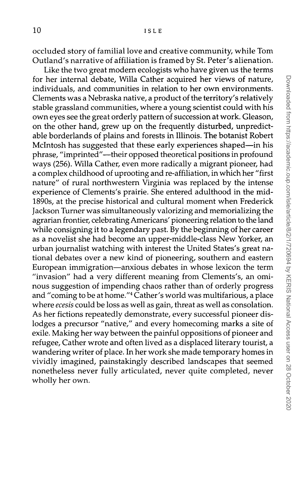occluded story of familial love and creative community, while Tom Outland's narrative of affiliation is framed by St. Peter's alienation.

Like the two great modern ecologists who have given us the terms for her internal debate, Willa Cather acquired her views of nature, individuals, and communities in relation to her own environments. Clements was a Nebraska native, a product of the territory's relatively stable grassland communities, where a young scientist could with his own eyes see the great orderly pattern of succession at work. Gleason, on the other hand, grew up on the frequently disturbed, unpredictable borderlands of plains and forests in Illinois. The botanist Robert Mclntosh has suggested that these early experiences shaped—in his phrase, "imprinted"—their opposed theoretical positions in profound ways (256). Willa Cather, even more radically a migrant pioneer, had a complex childhood of uprooting and re-affiliation, in which her "first nature" of rural northwestern Virginia was replaced by the intense experience of Clements's prairie. She entered adulthood in the mid-18903, at the precise historical and cultural moment when Frederick Jackson Turner was simultaneously valorizing and memorializing the agrarian frontier, celebrating Americans' pioneering relation to the land while consigning it to a legendary past. By the beginning of her career as a novelist she had become an upper-middle-class New Yorker, an urban journalist watching with interest the United States's great national debates over a new kind of pioneering, southern and eastern European immigration—anxious debates in whose lexicon the term "invasion" had a very different meaning from Clements's, an ominous suggestion of impending chaos rather than of orderly progress nous suggestion or imperiung chaos rather than or orderly progress<br>and "coming to be at home "<sup>4</sup> Cather's world was multifarious, a place where *ecesis* could be loss as well as gain, threat as well as consolation. As her fictions repeatedly demonstrate, every successful pioneer dislodges a precursor "native," and every homecoming marks a site of exile. Making her way between the painful oppositions of pioneer and refugee, Cather wrote and often lived as a displaced literary tourist, a wandering writer of place. In her work she made temporary homes in vividly imagined, painstakingly described landscapes that seemed nonetheless never fully articulated, never quite completed, never wholly her own.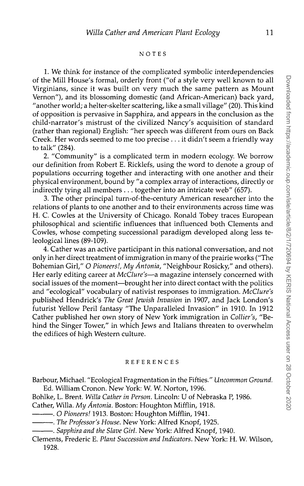#### NOTE S

1. We think for instance of the complicated symbolic interdependencies of the Mill House's formal, orderly front ("of a style very well known to all Virginians, since it was built on very much the same pattern as Mount Vernon"), and its blossoming domestic (and African-American) back yard, "another world; a helter-skelter scattering, like a small village" (20). This kind of opposition is pervasive in Sapphira, and appears in the conclusion as the child-narrator's mistrust of the civilized Nancy's acquisition of standard (rather than regional) English: "her speech was different from ours on Back Creek. Her words seemed to me too precise ... it didn't seem a friendly way to talk" (284).

2. "Community" is a complicated term in modern ecology. We borrow our definition from Robert E. Ricklefs, using the word to denote a group of populations occurring together and interacting with one another and their physical environment, bound by "a complex array of interactions, directly or indirectly tying all members . .. together into an intricate web" (657).

3. The other principal turn-of-the-century American researcher into the relations of plants to one another and to their environments across time was H. C. Cowles at the University of Chicago. Ronald Tobey traces European philosophical and scientific influences that influenced both Clements and Cowles, whose competing successional paradigm developed along less teleological lines (89-109).

4. Cather was an active participant in this national conversation, and not only in her direct treatment of immigration in many of the prairie works ("The Bohemian Girl," *O Pioneers!, My Antonia,* "Neighbour Rosicky," and others). Her early editing career at *McClure's*—a magazine intensely concerned with social issues of the moment—brought her into direct contact with the politics and "ecological" vocabulary of nativist responses to immigration. *McClure's* published Hendrick's *The Great Jewish Invasion* in 1907, and Jack London's futurist Yellow Peril fantasy "The Unparalleled Invasion" in 1910. In 1912 Cather published her own story of New York immigration in *Collier's,* "Behind the Singer Tower," in which Jews and Italians threaten to overwhelm the edifices of high Western culture.

#### **REFERENCES**

Barbour, Michael. "Ecological Fragmentation in the Fifties." *Uncommon Ground.* Ed. William Cronon. New York: W. W. Norton, 1996.

Bohlke, L. Brent. *Willa Cather in Person.* Lincoln: U of Nebraska P, 1986.

Cather, Willa. *My Antonia.* Boston: Houghton Mifflin, 1918.

- . *O Pioneers!* 1913. Boston: Houghton Mifflin, 1941.
- . *The Professor's House.* New York: Alfred Knopf, 1925.

. *Sapphira and the Slave Girl.* New York: Alfred Knopf, 1940.

Clements, Frederic E. *Plant Succession and Indicators.* New York: H. W. Wilson, 1928.